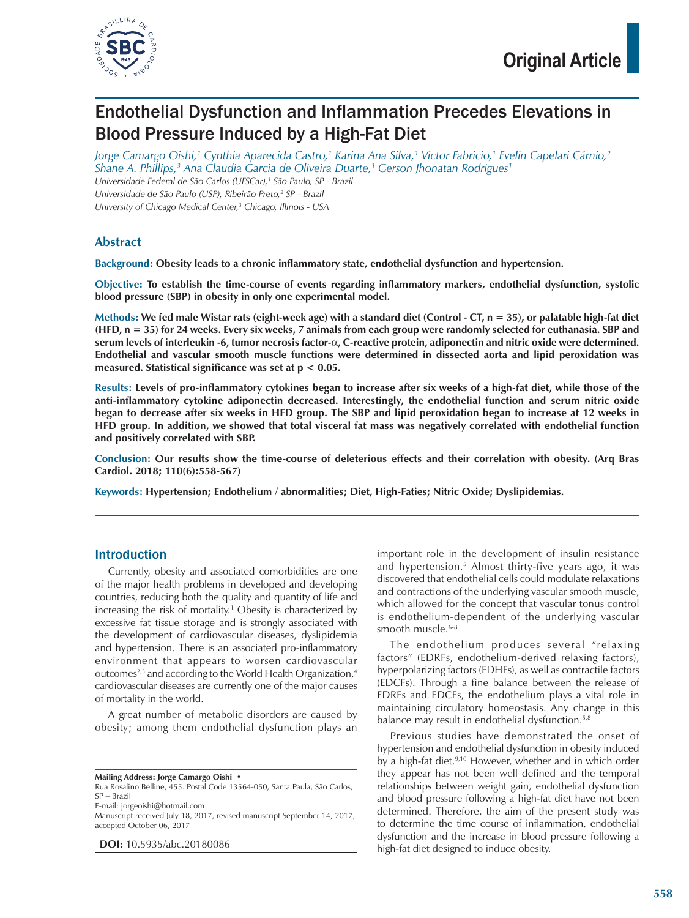

# Endothelial Dysfunction and Inflammation Precedes Elevations in Blood Pressure Induced by a High-Fat Diet

*Jorge Camargo Oishi,1 Cynthia Aparecida Castro,1 Karina Ana Silva,1 Victor Fabricio,1 Evelin Capelari Cárnio,2 Shane A. Phillips,3 Ana Claudia Garcia de Oliveira Duarte,1 Gerson Jhonatan Rodrigues1 Universidade Federal de São Carlos (UFSCar),1 São Paulo, SP - Brazil*

Universidade de São Paulo (USP), Ribeirão Preto,<sup>2</sup> SP - Brazil

*University of Chicago Medical Center,3 Chicago, Illinois - USA*

## **Abstract**

**Background: Obesity leads to a chronic inflammatory state, endothelial dysfunction and hypertension.**

**Objective: To establish the time-course of events regarding inflammatory markers, endothelial dysfunction, systolic blood pressure (SBP) in obesity in only one experimental model.**

**Methods: We fed male Wistar rats (eight-week age) with a standard diet (Control - CT, n = 35), or palatable high-fat diet (HFD, n = 35) for 24 weeks. Every six weeks, 7 animals from each group were randomly selected for euthanasia. SBP and serum levels of interleukin -6, tumor necrosis factor-**α**, C-reactive protein, adiponectin and nitric oxide were determined. Endothelial and vascular smooth muscle functions were determined in dissected aorta and lipid peroxidation was measured. Statistical significance was set at p < 0.05.**

**Results: Levels of pro-inflammatory cytokines began to increase after six weeks of a high-fat diet, while those of the anti-inflammatory cytokine adiponectin decreased. Interestingly, the endothelial function and serum nitric oxide began to decrease after six weeks in HFD group. The SBP and lipid peroxidation began to increase at 12 weeks in HFD group. In addition, we showed that total visceral fat mass was negatively correlated with endothelial function and positively correlated with SBP.**

**Conclusion: Our results show the time-course of deleterious effects and their correlation with obesity. (Arq Bras Cardiol. 2018; 110(6):558-567)**

**Keywords: Hypertension; Endothelium / abnormalities; Diet, High-Faties; Nitric Oxide; Dyslipidemias.**

### Introduction

Currently, obesity and associated comorbidities are one of the major health problems in developed and developing countries, reducing both the quality and quantity of life and increasing the risk of mortality.1 Obesity is characterized by excessive fat tissue storage and is strongly associated with the development of cardiovascular diseases, dyslipidemia and hypertension. There is an associated pro-inflammatory environment that appears to worsen cardiovascular outcomes<sup>2,3</sup> and according to the World Health Organization,<sup>4</sup> cardiovascular diseases are currently one of the major causes of mortality in the world.

A great number of metabolic disorders are caused by obesity; among them endothelial dysfunction plays an

**Mailing Address: Jorge Camargo Oishi •**

Rua Rosalino Belline, 455. Postal Code 13564-050, Santa Paula, São Carlos, SP – Brazil

E-mail: jorgeoishi@hotmail.com

Manuscript received July 18, 2017, revised manuscript September 14, 2017, accepted October 06, 2017

**DOI:** 10.5935/abc.20180086

important role in the development of insulin resistance and hypertension.5 Almost thirty-five years ago, it was discovered that endothelial cells could modulate relaxations and contractions of the underlying vascular smooth muscle, which allowed for the concept that vascular tonus control is endothelium-dependent of the underlying vascular smooth muscle.<sup>6-8</sup>

The endothelium produces several "relaxing factors" (EDRFs, endothelium-derived relaxing factors), hyperpolarizing factors (EDHFs), as well as contractile factors (EDCFs). Through a fine balance between the release of EDRFs and EDCFs, the endothelium plays a vital role in maintaining circulatory homeostasis. Any change in this balance may result in endothelial dysfunction.<sup>5,8</sup>

Previous studies have demonstrated the onset of hypertension and endothelial dysfunction in obesity induced by a high-fat diet.<sup>9,10</sup> However, whether and in which order they appear has not been well defined and the temporal relationships between weight gain, endothelial dysfunction and blood pressure following a high-fat diet have not been determined. Therefore, the aim of the present study was to determine the time course of inflammation, endothelial dysfunction and the increase in blood pressure following a high-fat diet designed to induce obesity.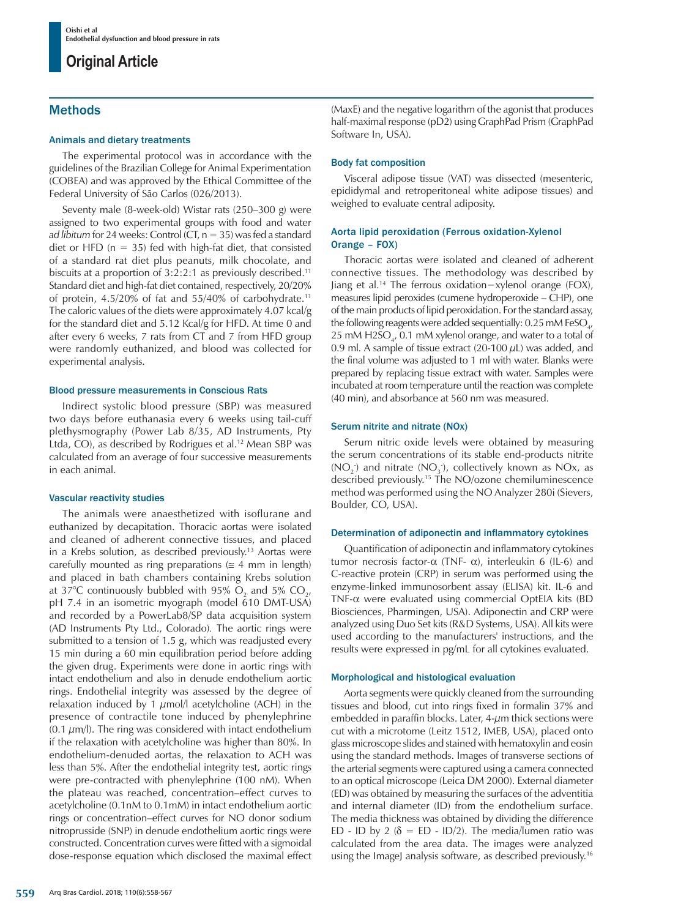## Methods

### Animals and dietary treatments

The experimental protocol was in accordance with the guidelines of the Brazilian College for Animal Experimentation (COBEA) and was approved by the Ethical Committee of the Federal University of São Carlos (026/2013).

Seventy male (8-week-old) Wistar rats (250–300 g) were assigned to two experimental groups with food and water *ad libitum* for 24 weeks: Control (CT, n = 35) was fed a standard diet or HFD ( $n = 35$ ) fed with high-fat diet, that consisted of a standard rat diet plus peanuts, milk chocolate, and biscuits at a proportion of 3:2:2:1 as previously described.11 Standard diet and high-fat diet contained, respectively, 20/20% of protein, 4.5/20% of fat and 55/40% of carbohydrate.11 The caloric values of the diets were approximately 4.07 kcal/g for the standard diet and 5.12 Kcal/g for HFD. At time 0 and after every 6 weeks, 7 rats from CT and 7 from HFD group were randomly euthanized, and blood was collected for experimental analysis.

### Blood pressure measurements in Conscious Rats

Indirect systolic blood pressure (SBP) was measured two days before euthanasia every 6 weeks using tail-cuff plethysmography (Power Lab 8/35, AD Instruments, Pty Ltda, CO), as described by Rodrigues et al.<sup>12</sup> Mean SBP was calculated from an average of four successive measurements in each animal.

### Vascular reactivity studies

The animals were anaesthetized with isoflurane and euthanized by decapitation. Thoracic aortas were isolated and cleaned of adherent connective tissues, and placed in a Krebs solution, as described previously.13 Aortas were carefully mounted as ring preparations ( $\leq 4$  mm in length) and placed in bath chambers containing Krebs solution at 37°C continuously bubbled with 95%  $O_2$  and 5%  $CO_{2'}$ pH 7.4 in an isometric myograph (model 610 DMT-USA) and recorded by a PowerLab8/SP data acquisition system (AD Instruments Pty Ltd., Colorado)*.* The aortic rings were submitted to a tension of 1.5 g, which was readjusted every 15 min during a 60 min equilibration period before adding the given drug. Experiments were done in aortic rings with intact endothelium and also in denude endothelium aortic rings. Endothelial integrity was assessed by the degree of relaxation induced by 1  $\mu$ mol/l acetylcholine (ACH) in the presence of contractile tone induced by phenylephrine  $(0.1 \mu m/l)$ . The ring was considered with intact endothelium if the relaxation with acetylcholine was higher than 80%. In endothelium-denuded aortas, the relaxation to ACH was less than 5%. After the endothelial integrity test, aortic rings were pre-contracted with phenylephrine (100 nM). When the plateau was reached, concentration–effect curves to acetylcholine (0.1nM to 0.1mM) in intact endothelium aortic rings or concentration–effect curves for NO donor sodium nitroprusside (SNP) in denude endothelium aortic rings were constructed. Concentration curves were fitted with a sigmoidal dose-response equation which disclosed the maximal effect

(MaxE) and the negative logarithm of the agonist that produces half-maximal response (pD2) using GraphPad Prism (GraphPad Software In, USA).

### Body fat composition

Visceral adipose tissue (VAT) was dissected (mesenteric, epididymal and retroperitoneal white adipose tissues) and weighed to evaluate central adiposity.

### Aorta lipid peroxidation (Ferrous oxidation-Xylenol Orange – FOX)

Thoracic aortas were isolated and cleaned of adherent connective tissues. The methodology was described by Jiang et al.14 The ferrous oxidation−xylenol orange (FOX), measures lipid peroxides (cumene hydroperoxide – CHP), one of the main products of lipid peroxidation. For the standard assay, the following reagents were added sequentially: 0.25 mM FeSO<sub>4</sub>, 25 mM  $H2SO_{4}$ , 0.1 mM xylenol orange, and water to a total of 0.9 ml. A sample of tissue extract (20-100  $\mu$ L) was added, and the final volume was adjusted to 1 ml with water. Blanks were prepared by replacing tissue extract with water. Samples were incubated at room temperature until the reaction was complete (40 min), and absorbance at 560 nm was measured.

### Serum nitrite and nitrate (NOx)

Serum nitric oxide levels were obtained by measuring the serum concentrations of its stable end-products nitrite  $(NO<sub>2</sub>)$  and nitrate  $(NO<sub>3</sub>)$ , collectively known as NOx, as described previously.15 The NO/ozone chemiluminescence method was performed using the NO Analyzer 280i (Sievers, Boulder, CO, USA).

### Determination of adiponectin and inflammatory cytokines

Quantification of adiponectin and inflammatory cytokines tumor necrosis factor- $\alpha$  (TNF- α), interleukin 6 (IL-6) and C-reactive protein (CRP) in serum was performed using the enzyme-linked immunosorbent assay (ELISA) kit. IL-6 and TNF-α were evaluated using commercial OptEIA kits (BD Biosciences, Pharmingen, USA). Adiponectin and CRP were analyzed using Duo Set kits (R&D Systems, USA). All kits were used according to the manufacturers' instructions, and the results were expressed in pg/mL for all cytokines evaluated.

### Morphological and histological evaluation

Aorta segments were quickly cleaned from the surrounding tissues and blood, cut into rings fixed in formalin 37% and embedded in paraffin blocks. Later,  $4-\mu$ m thick sections were cut with a microtome (Leitz 1512, IMEB, USA), placed onto glass microscope slides and stained with hematoxylin and eosin using the standard methods. Images of transverse sections of the arterial segments were captured using a camera connected to an optical microscope (Leica DM 2000). External diameter (ED) was obtained by measuring the surfaces of the adventitia and internal diameter (ID) from the endothelium surface. The media thickness was obtained by dividing the difference ED - ID by 2 ( $\delta$  = ED - ID/2). The media/lumen ratio was calculated from the area data. The images were analyzed using the ImageJ analysis software, as described previously.<sup>16</sup>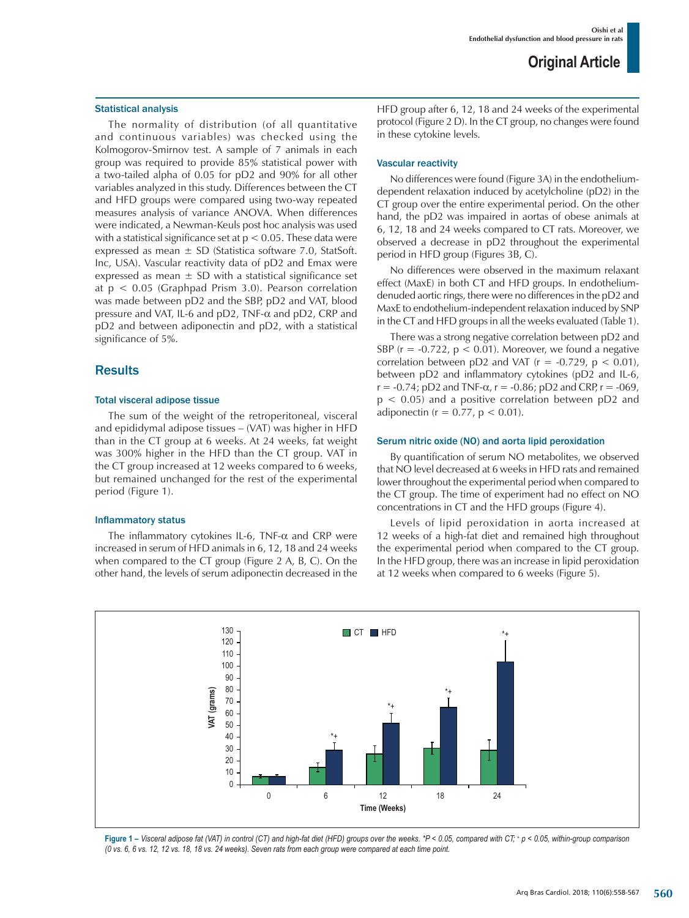#### Statistical analysis

The normality of distribution (of all quantitative and continuous variables) was checked using the Kolmogorov-Smirnov test. A sample of 7 animals in each group was required to provide 85% statistical power with a two-tailed alpha of 0.05 for pD2 and 90% for all other variables analyzed in this study. Differences between the CT and HFD groups were compared using two-way repeated measures analysis of variance ANOVA. When differences were indicated, a Newman-Keuls post hoc analysis was used with a statistical significance set at  $p < 0.05$ . These data were expressed as mean  $\pm$  SD (Statistica software 7.0, StatSoft. Inc, USA). Vascular reactivity data of pD2 and Emax were expressed as mean  $\pm$  SD with a statistical significance set at p < 0.05 (Graphpad Prism 3.0). Pearson correlation was made between pD2 and the SBP, pD2 and VAT, blood pressure and VAT, IL-6 and pD2, TNF-α and pD2, CRP and pD2 and between adiponectin and pD2, with a statistical significance of 5%.

### **Results**

#### Total visceral adipose tissue

The sum of the weight of the retroperitoneal, visceral and epididymal adipose tissues – (VAT) was higher in HFD than in the CT group at 6 weeks. At 24 weeks, fat weight was 300% higher in the HFD than the CT group. VAT in the CT group increased at 12 weeks compared to 6 weeks, but remained unchanged for the rest of the experimental period (Figure 1).

#### Inflammatory status

The inflammatory cytokines IL-6, TNF-α and CRP were increased in serum of HFD animals in 6, 12, 18 and 24 weeks when compared to the CT group (Figure 2 A, B, C). On the other hand, the levels of serum adiponectin decreased in the HFD group after 6, 12, 18 and 24 weeks of the experimental protocol (Figure 2 D). In the CT group, no changes were found in these cytokine levels.

### Vascular reactivity

No differences were found (Figure 3A) in the endotheliumdependent relaxation induced by acetylcholine (pD2) in the CT group over the entire experimental period. On the other hand, the pD2 was impaired in aortas of obese animals at 6, 12, 18 and 24 weeks compared to CT rats. Moreover, we observed a decrease in pD2 throughout the experimental period in HFD group (Figures 3B, C).

No differences were observed in the maximum relaxant effect (MaxE) in both CT and HFD groups. In endotheliumdenuded aortic rings, there were no differences in the pD2 and MaxE to endothelium-independent relaxation induced by SNP in the CT and HFD groups in all the weeks evaluated (Table 1).

There was a strong negative correlation between pD2 and SBP ( $r = -0.722$ ,  $p < 0.01$ ). Moreover, we found a negative correlation between pD2 and VAT ( $r = -0.729$ ,  $p < 0.01$ ), between pD2 and inflammatory cytokines (pD2 and IL-6,  $r = -0.74$ ; pD2 and TNF- $\alpha$ ,  $r = -0.86$ ; pD2 and CRP,  $r = -069$ ,  $p < 0.05$ ) and a positive correlation between  $pD2$  and adiponectin ( $r = 0.77$ ,  $p < 0.01$ ).

### Serum nitric oxide (NO) and aorta lipid peroxidation

By quantification of serum NO metabolites, we observed that NO level decreased at 6 weeks in HFD rats and remained lower throughout the experimental period when compared to the CT group. The time of experiment had no effect on NO concentrations in CT and the HFD groups (Figure 4).

Levels of lipid peroxidation in aorta increased at 12 weeks of a high-fat diet and remained high throughout the experimental period when compared to the CT group. In the HFD group, there was an increase in lipid peroxidation at 12 weeks when compared to 6 weeks (Figure 5).



**Figure 1 –** *Visceral adipose fat (VAT) in control (CT) and high-fat diet (HFD) groups over the weeks. \*P < 0.05, compared with CT; + p < 0.05, within-group comparison (0 vs. 6, 6 vs. 12, 12 vs. 18, 18 vs. 24 weeks). Seven rats from each group were compared at each time point.*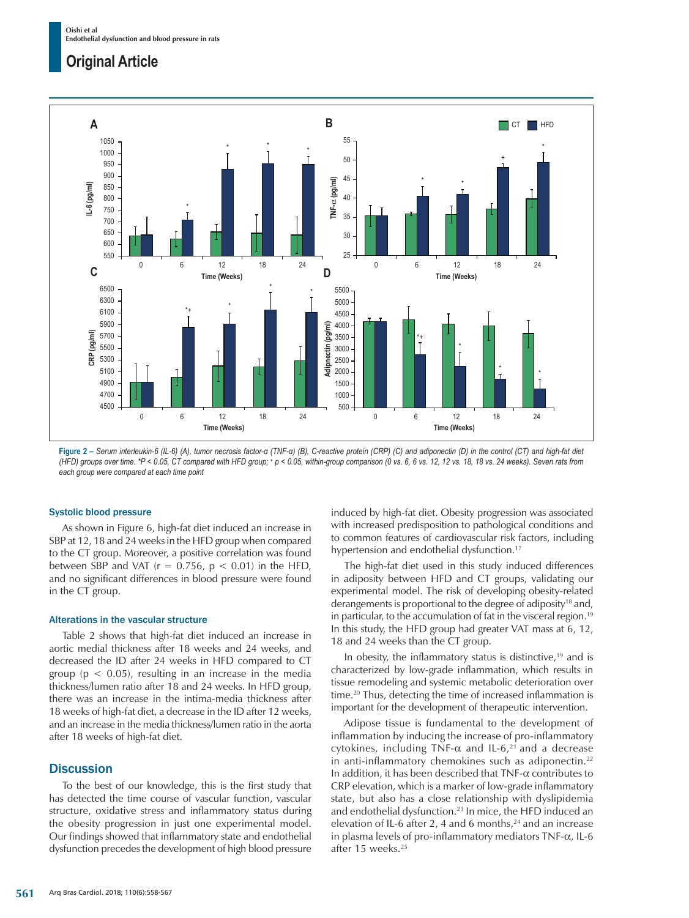

**Figure 2 –** *Serum interleukin-6 (IL-6) (A), tumor necrosis factor-α (TNF-α) (B), C-reactive protein (CRP) (C) and adiponectin (D) in the control (CT) and high-fat diet (HFD) groups over time. \*P < 0.05, CT compared with HFD group; + p < 0.05, within-group comparison (0 vs. 6, 6 vs. 12, 12 vs. 18, 18 vs. 24 weeks). Seven rats from each group were compared at each time point*

### Systolic blood pressure

As shown in Figure 6, high-fat diet induced an increase in SBP at 12, 18 and 24 weeks in the HFD group when compared to the CT group. Moreover, a positive correlation was found between SBP and VAT ( $r = 0.756$ ,  $p < 0.01$ ) in the HFD, and no significant differences in blood pressure were found in the CT group.

### Alterations in the vascular structure

Table 2 shows that high-fat diet induced an increase in aortic medial thickness after 18 weeks and 24 weeks, and decreased the ID after 24 weeks in HFD compared to CT group ( $p < 0.05$ ), resulting in an increase in the media thickness/lumen ratio after 18 and 24 weeks. In HFD group, there was an increase in the intima-media thickness after 18 weeks of high-fat diet, a decrease in the ID after 12 weeks, and an increase in the media thickness/lumen ratio in the aorta after 18 weeks of high-fat diet.

## **Discussion**

To the best of our knowledge, this is the first study that has detected the time course of vascular function, vascular structure, oxidative stress and inflammatory status during the obesity progression in just one experimental model. Our findings showed that inflammatory state and endothelial dysfunction precedes the development of high blood pressure induced by high-fat diet. Obesity progression was associated with increased predisposition to pathological conditions and to common features of cardiovascular risk factors, including hypertension and endothelial dysfunction.<sup>17</sup>

The high-fat diet used in this study induced differences in adiposity between HFD and CT groups, validating our experimental model. The risk of developing obesity-related derangements is proportional to the degree of adiposity<sup>18</sup> and, in particular, to the accumulation of fat in the visceral region.19 In this study, the HFD group had greater VAT mass at 6, 12, 18 and 24 weeks than the CT group.

In obesity, the inflammatory status is distinctive,<sup>19</sup> and is characterized by low-grade inflammation, which results in tissue remodeling and systemic metabolic deterioration over time.<sup>20</sup> Thus, detecting the time of increased inflammation is important for the development of therapeutic intervention.

Adipose tissue is fundamental to the development of inflammation by inducing the increase of pro-inflammatory cytokines, including TNF- $\alpha$  and IL-6,<sup>21</sup> and a decrease in anti-inflammatory chemokines such as adiponectin.<sup>22</sup> In addition, it has been described that  $TNF-\alpha$  contributes to CRP elevation, which is a marker of low-grade inflammatory state, but also has a close relationship with dyslipidemia and endothelial dysfunction.23 In mice, the HFD induced an elevation of IL-6 after 2, 4 and 6 months, $24$  and an increase in plasma levels of pro-inflammatory mediators  $TNF-\alpha$ , IL-6 after 15 weeks.<sup>25</sup>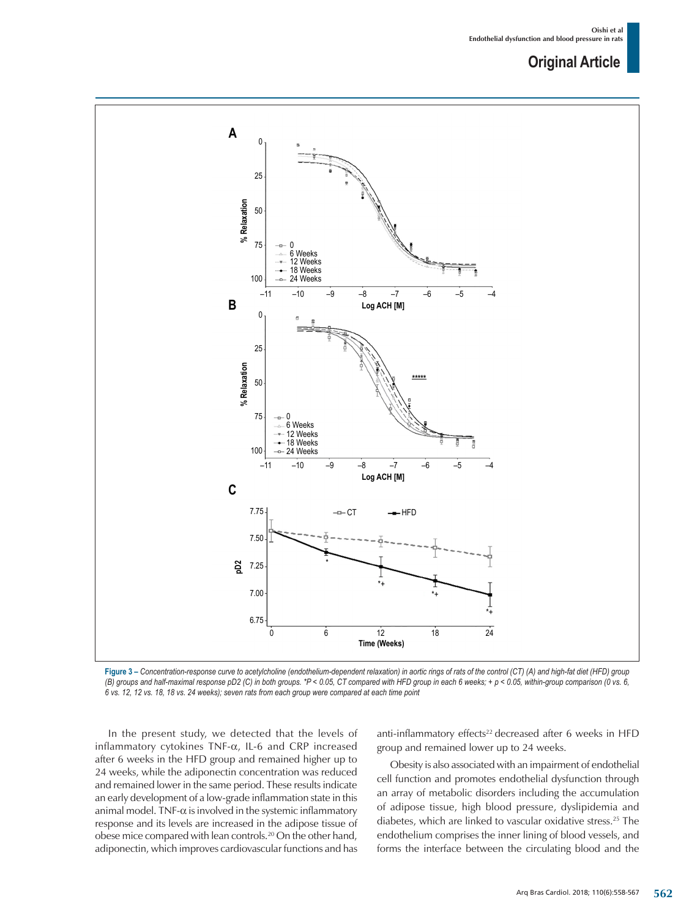

**Figure 3 –** *Concentration-response curve to acetylcholine (endothelium-dependent relaxation) in aortic rings of rats of the control (CT) (A) and high-fat diet (HFD) group (B) groups and half-maximal response pD2 (C) in both groups. \*P < 0.05, CT compared with HFD group in each 6 weeks; + p < 0.05, within-group comparison (0 vs. 6, 6 vs. 12, 12 vs. 18, 18 vs. 24 weeks); seven rats from each group were compared at each time point* 

In the present study, we detected that the levels of inflammatory cytokines TNF-α, IL-6 and CRP increased after 6 weeks in the HFD group and remained higher up to 24 weeks, while the adiponectin concentration was reduced and remained lower in the same period. These results indicate an early development of a low-grade inflammation state in this animal model. TNF- $\alpha$  is involved in the systemic inflammatory response and its levels are increased in the adipose tissue of obese mice compared with lean controls.20 On the other hand, adiponectin, which improves cardiovascular functions and has anti-inflammatory effects<sup>22</sup> decreased after 6 weeks in HFD group and remained lower up to 24 weeks.

Obesity is also associated with an impairment of endothelial cell function and promotes endothelial dysfunction through an array of metabolic disorders including the accumulation of adipose tissue, high blood pressure, dyslipidemia and diabetes, which are linked to vascular oxidative stress.25 The endothelium comprises the inner lining of blood vessels, and forms the interface between the circulating blood and the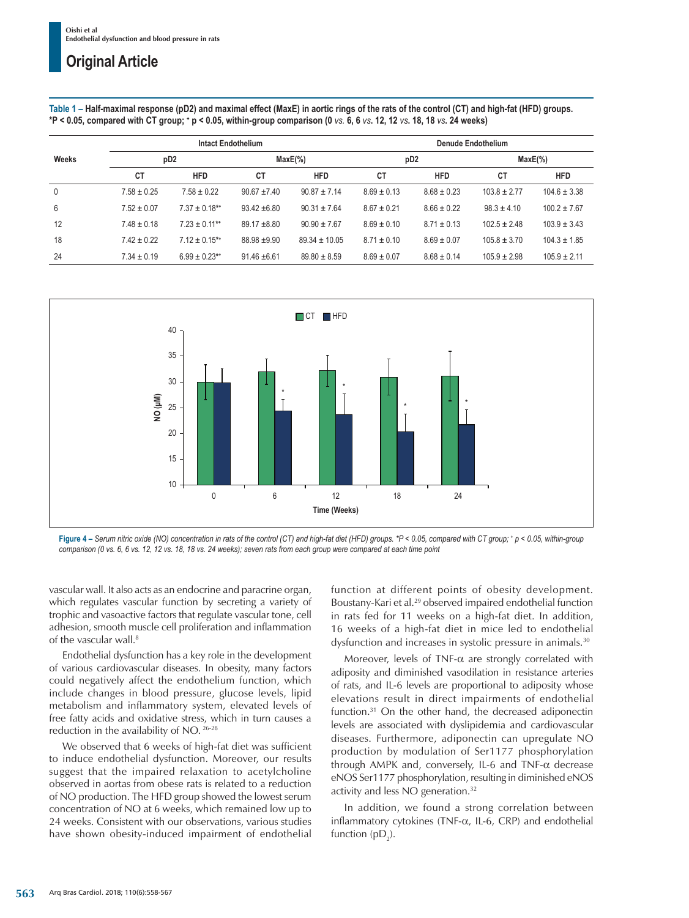**Table 1 – Half-maximal response (pD2) and maximal effect (MaxE) in aortic rings of the rats of the control (CT) and high-fat (HFD) groups. \*P < 0.05, compared with CT group; + p < 0.05, within-group comparison (0** *vs.* **6, 6** *vs***. 12, 12** *vs***. 18, 18** *vs***. 24 weeks)**

|       | <b>Intact Endothelium</b> |                    |                  |                   | <b>Denude Endothelium</b> |                 |                  |                  |
|-------|---------------------------|--------------------|------------------|-------------------|---------------------------|-----------------|------------------|------------------|
| Weeks | pD <sub>2</sub>           |                    | $MaxE(\%)$       |                   | pD <sub>2</sub>           |                 | $MaxE(\%)$       |                  |
|       | СT                        | <b>HFD</b>         | СT               | <b>HFD</b>        | СT                        | <b>HFD</b>      | СT               | <b>HFD</b>       |
| 0     | $7.58 \pm 0.25$           | $7.58 \pm 0.22$    | $90.67 + 7.40$   | $90.87 \pm 7.14$  | $8.69 \pm 0.13$           | $8.68 \pm 0.23$ | $103.8 \pm 2.77$ | $104.6 \pm 3.38$ |
| 6     | $7.52 \pm 0.07$           | $7.37 \pm 0.18$ ** | $93.42 \pm 6.80$ | $90.31 \pm 7.64$  | $8.67 \pm 0.21$           | $8.66 \pm 0.22$ | $98.3 \pm 4.10$  | $100.2 \pm 7.67$ |
| 12    | $7.48 \pm 0.18$           | $7.23 \pm 0.11$ ** | $89.17 + 8.80$   | $90.90 \pm 7.67$  | $8.69 \pm 0.10$           | $8.71 \pm 0.13$ | $102.5 \pm 2.48$ | $103.9 \pm 3.43$ |
| 18    | $7.42 \pm 0.22$           | $712 + 015$ **     | $88.98 + 9.90$   | $89.34 \pm 10.05$ | $8.71 \pm 0.10$           | $8.69 \pm 0.07$ | $105.8 \pm 3.70$ | $104.3 \pm 1.85$ |
| 24    | $7.34 \pm 0.19$           | $6.99 \pm 0.23$ ** | $91.46 \pm 6.61$ | $89.80 \pm 8.59$  | $8.69 \pm 0.07$           | $8.68 \pm 0.14$ | $105.9 \pm 2.98$ | $105.9 \pm 2.11$ |



Figure 4 – Serum nitric oxide (NO) concentration in rats of the control (CT) and high-fat diet (HFD) groups. \*P < 0.05, compared with CT group; \* p < 0.05, within-group *comparison (0 vs. 6, 6 vs. 12, 12 vs. 18, 18 vs. 24 weeks); seven rats from each group were compared at each time point*

vascular wall. It also acts as an endocrine and paracrine organ, which regulates vascular function by secreting a variety of trophic and vasoactive factors that regulate vascular tone, cell adhesion, smooth muscle cell proliferation and inflammation of the vascular wall.<sup>8</sup>

Endothelial dysfunction has a key role in the development of various cardiovascular diseases. In obesity, many factors could negatively affect the endothelium function, which include changes in blood pressure, glucose levels, lipid metabolism and inflammatory system, elevated levels of free fatty acids and oxidative stress, which in turn causes a reduction in the availability of NO. 26-28

We observed that 6 weeks of high-fat diet was sufficient to induce endothelial dysfunction. Moreover, our results suggest that the impaired relaxation to acetylcholine observed in aortas from obese rats is related to a reduction of NO production. The HFD group showed the lowest serum concentration of NO at 6 weeks, which remained low up to 24 weeks. Consistent with our observations, various studies have shown obesity-induced impairment of endothelial function at different points of obesity development. Boustany-Kari et al.29 observed impaired endothelial function in rats fed for 11 weeks on a high-fat diet. In addition, 16 weeks of a high-fat diet in mice led to endothelial dysfunction and increases in systolic pressure in animals.<sup>30</sup>

Moreover, levels of TNF-α are strongly correlated with adiposity and diminished vasodilation in resistance arteries of rats, and IL-6 levels are proportional to adiposity whose elevations result in direct impairments of endothelial function.31 On the other hand, the decreased adiponectin levels are associated with dyslipidemia and cardiovascular diseases. Furthermore, adiponectin can upregulate NO production by modulation of Ser1177 phosphorylation through AMPK and, conversely, IL-6 and TNF-α decrease eNOS Ser1177 phosphorylation, resulting in diminished eNOS activity and less NO generation.<sup>32</sup>

In addition, we found a strong correlation between inflammatory cytokines (TNF-α, IL-6, CRP) and endothelial function  $(pD_2)$ .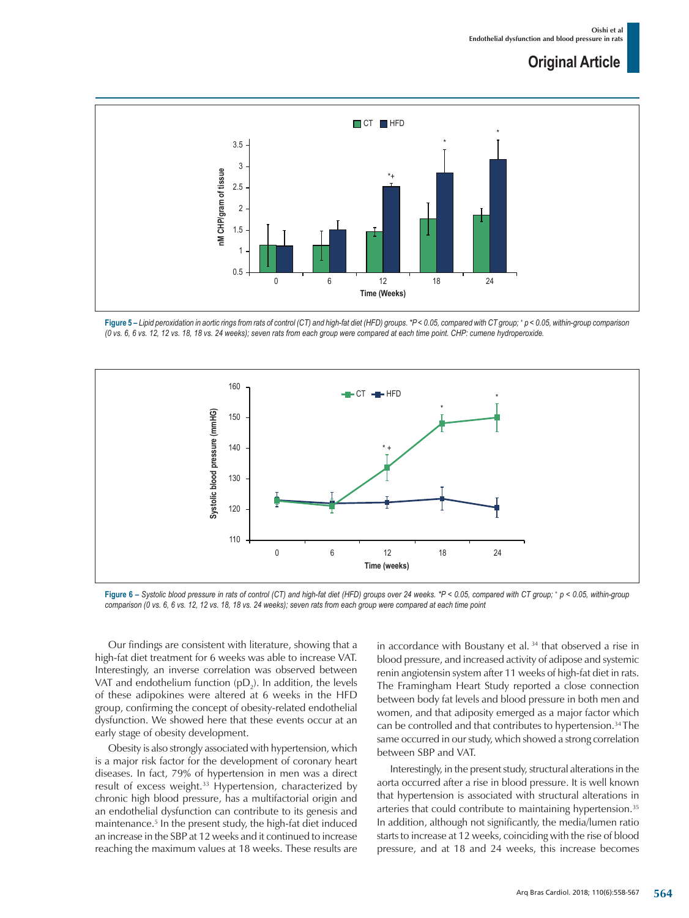

**Figure 5 –** *Lipid peroxidation in aortic rings from rats of control (CT) and high-fat diet (HFD) groups. \*P < 0.05, compared with CT group; + p < 0.05, within-group comparison (0 vs. 6, 6 vs. 12, 12 vs. 18, 18 vs. 24 weeks); seven rats from each group were compared at each time point. CHP: cumene hydroperoxide.*



**Figure 6 –** *Systolic blood pressure in rats of control (CT) and high-fat diet (HFD) groups over 24 weeks. \*P < 0.05, compared with CT group; <sup>+</sup> p < 0.05, within-group comparison (0 vs. 6, 6 vs. 12, 12 vs. 18, 18 vs. 24 weeks); seven rats from each group were compared at each time point*

Our findings are consistent with literature, showing that a high-fat diet treatment for 6 weeks was able to increase VAT. Interestingly, an inverse correlation was observed between VAT and endothelium function (pD<sub>2</sub>). In addition, the levels of these adipokines were altered at 6 weeks in the HFD group, confirming the concept of obesity-related endothelial dysfunction. We showed here that these events occur at an early stage of obesity development.

Obesity is also strongly associated with hypertension, which is a major risk factor for the development of coronary heart diseases. In fact, 79% of hypertension in men was a direct result of excess weight.<sup>33</sup> Hypertension, characterized by chronic high blood pressure, has a multifactorial origin and an endothelial dysfunction can contribute to its genesis and maintenance.5 In the present study, the high-fat diet induced an increase in the SBP at 12 weeks and it continued to increase reaching the maximum values at 18 weeks. These results are

in accordance with Boustany et al.<sup>34</sup> that observed a rise in blood pressure, and increased activity of adipose and systemic renin angiotensin system after 11 weeks of high-fat diet in rats. The Framingham Heart Study reported a close connection between body fat levels and blood pressure in both men and women, and that adiposity emerged as a major factor which can be controlled and that contributes to hypertension.<sup>34</sup> The same occurred in our study, which showed a strong correlation between SBP and VAT.

Interestingly, in the present study, structural alterations in the aorta occurred after a rise in blood pressure. It is well known that hypertension is associated with structural alterations in arteries that could contribute to maintaining hypertension.<sup>35</sup> In addition, although not significantly, the media/lumen ratio starts to increase at 12 weeks, coinciding with the rise of blood pressure, and at 18 and 24 weeks, this increase becomes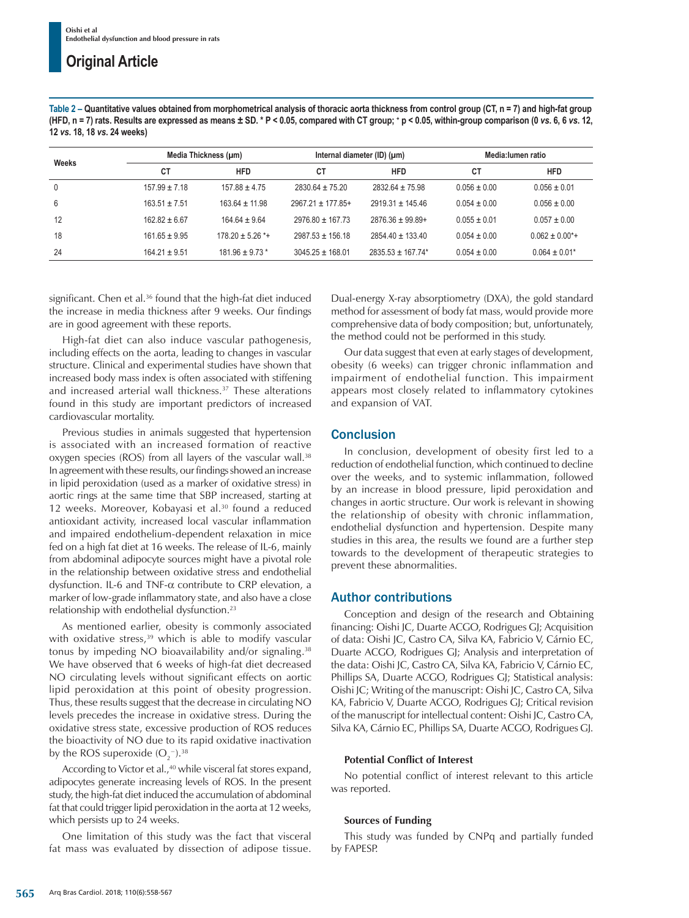**Table 2 – Quantitative values obtained from morphometrical analysis of thoracic aorta thickness from control group (CT, n = 7) and high-fat group**  (HFD, n = 7) rats. Results are expressed as means ± SD. \* P < 0.05, compared with CT group; \* p < 0.05, within-group comparison (0 *vs*. 6, 6 *vs*. 12, **12** *vs***. 18, 18** *vs***. 24 weeks)**

|             |                   | Media Thickness (µm) |                       | Internal diameter (ID) $(\mu m)$ | Media: lumen ratio |                   |
|-------------|-------------------|----------------------|-----------------------|----------------------------------|--------------------|-------------------|
| Weeks       | СT                | <b>HFD</b>           | <b>CT</b>             | <b>HFD</b>                       | СT                 | <b>HFD</b>        |
| $\mathbf 0$ | $157.99 \pm 7.18$ | $157.88 \pm 4.75$    | $2830.64 \pm 75.20$   | $2832.64 \pm 75.98$              | $0.056 \pm 0.00$   | $0.056 \pm 0.01$  |
| 6           | $163.51 \pm 7.51$ | $163.64 \pm 11.98$   | $2967.21 \pm 177.85+$ | $2919.31 \pm 145.46$             | $0.054 \pm 0.00$   | $0.056 \pm 0.00$  |
| 12          | $162.82 \pm 6.67$ | $164.64 \pm 9.64$    | $2976.80 \pm 167.73$  | $2876.36 \pm 99.89+$             | $0.055 \pm 0.01$   | $0.057 \pm 0.00$  |
| 18          | $161.65 \pm 9.95$ | $178.20 \pm 5.26$ *+ | $2987.53 \pm 156.18$  | $2854.40 \pm 133.40$             | $0.054 \pm 0.00$   | $0.062 \pm 0.00*$ |
| 24          | $164.21 \pm 9.51$ | $181.96 \pm 9.73$ *  | $3045.25 \pm 168.01$  | $2835.53 \pm 167.74*$            | $0.054 \pm 0.00$   | $0.064 \pm 0.01*$ |

significant. Chen et al.<sup>36</sup> found that the high-fat diet induced the increase in media thickness after 9 weeks. Our findings are in good agreement with these reports.

High-fat diet can also induce vascular pathogenesis, including effects on the aorta, leading to changes in vascular structure. Clinical and experimental studies have shown that increased body mass index is often associated with stiffening and increased arterial wall thickness.<sup>37</sup> These alterations found in this study are important predictors of increased cardiovascular mortality.

Previous studies in animals suggested that hypertension is associated with an increased formation of reactive oxygen species (ROS) from all layers of the vascular wall.<sup>38</sup> In agreement with these results, our findings showed an increase in lipid peroxidation (used as a marker of oxidative stress) in aortic rings at the same time that SBP increased, starting at 12 weeks. Moreover, Kobayasi et al.<sup>30</sup> found a reduced antioxidant activity, increased local vascular inflammation and impaired endothelium-dependent relaxation in mice fed on a high fat diet at 16 weeks. The release of IL-6, mainly from abdominal adipocyte sources might have a pivotal role in the relationship between oxidative stress and endothelial dysfunction. IL-6 and TNF-α contribute to CRP elevation, a marker of low-grade inflammatory state, and also have a close relationship with endothelial dysfunction.23

As mentioned earlier, obesity is commonly associated with oxidative stress,  $39$  which is able to modify vascular tonus by impeding NO bioavailability and/or signaling.<sup>38</sup> We have observed that 6 weeks of high-fat diet decreased NO circulating levels without significant effects on aortic lipid peroxidation at this point of obesity progression. Thus, these results suggest that the decrease in circulating NO levels precedes the increase in oxidative stress. During the oxidative stress state, excessive production of ROS reduces the bioactivity of NO due to its rapid oxidative inactivation by the ROS superoxide (O<sub>2</sub> $^{\circ}$ ).<sup>38</sup>

According to Victor et al.,<sup>40</sup> while visceral fat stores expand, adipocytes generate increasing levels of ROS. In the present study, the high-fat diet induced the accumulation of abdominal fat that could trigger lipid peroxidation in the aorta at 12 weeks, which persists up to 24 weeks.

One limitation of this study was the fact that visceral fat mass was evaluated by dissection of adipose tissue.

Dual-energy X-ray absorptiometry (DXA), the gold standard method for assessment of body fat mass, would provide more comprehensive data of body composition; but, unfortunately, the method could not be performed in this study.

Our data suggest that even at early stages of development, obesity (6 weeks) can trigger chronic inflammation and impairment of endothelial function. This impairment appears most closely related to inflammatory cytokines and expansion of VAT.

## **Conclusion**

In conclusion, development of obesity first led to a reduction of endothelial function, which continued to decline over the weeks, and to systemic inflammation, followed by an increase in blood pressure, lipid peroxidation and changes in aortic structure. Our work is relevant in showing the relationship of obesity with chronic inflammation, endothelial dysfunction and hypertension. Despite many studies in this area, the results we found are a further step towards to the development of therapeutic strategies to prevent these abnormalities.

## Author contributions

Conception and design of the research and Obtaining financing: Oishi JC, Duarte ACGO, Rodrigues GJ; Acquisition of data: Oishi JC, Castro CA, Silva KA, Fabricio V, Cárnio EC, Duarte ACGO, Rodrigues GJ; Analysis and interpretation of the data: Oishi JC, Castro CA, Silva KA, Fabricio V, Cárnio EC, Phillips SA, Duarte ACGO, Rodrigues GJ; Statistical analysis: Oishi JC; Writing of the manuscript: Oishi JC, Castro CA, Silva KA, Fabricio V, Duarte ACGO, Rodrigues GJ; Critical revision of the manuscript for intellectual content: Oishi JC, Castro CA, Silva KA, Cárnio EC, Phillips SA, Duarte ACGO, Rodrigues GJ.

## **Potential Conflict of Interest**

No potential conflict of interest relevant to this article was reported.

## **Sources of Funding**

This study was funded by CNPq and partially funded by FAPESP.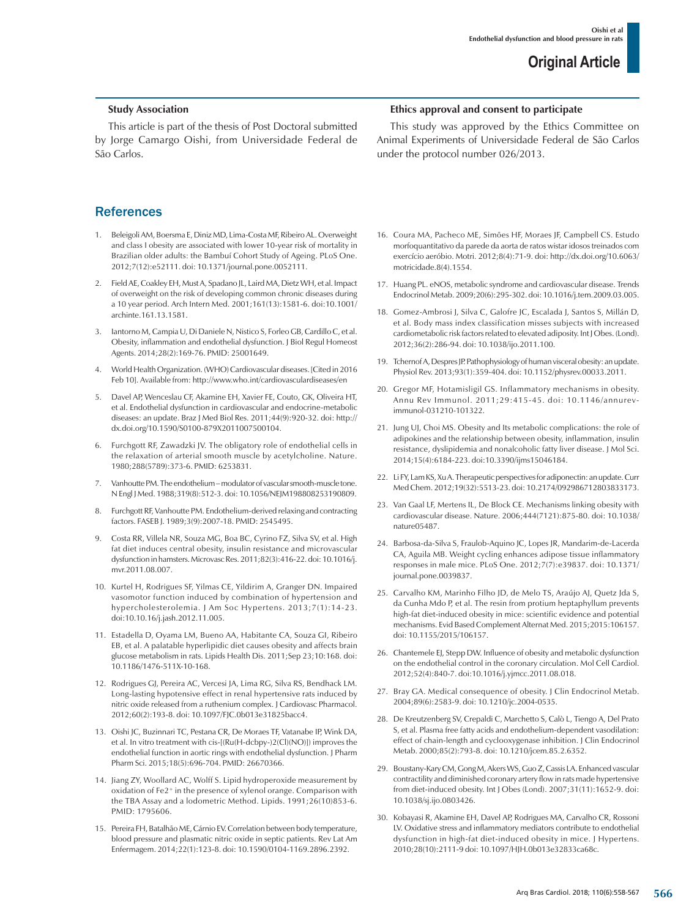### **Study Association**

This article is part of the thesis of Post Doctoral submitted by Jorge Camargo Oishi, from Universidade Federal de São Carlos.

### **References**

- 1. Beleigoli AM, Boersma E, Diniz MD, Lima-Costa MF, Ribeiro AL. Overweight and class I obesity are associated with lower 10-year risk of mortality in Brazilian older adults: the Bambuí Cohort Study of Ageing. PLoS One. 2012;7(12):e52111. doi: 10.1371/journal.pone.0052111.
- 2. Field AE, Coakley EH, Must A, Spadano JL, Laird MA, Dietz WH, et al. Impact of overweight on the risk of developing common chronic diseases during a 10 year period. Arch Intern Med. 2001;161(13):1581-6. doi:10.1001/ archinte.161.13.1581.
- 3. Iantorno M, Campia U, Di Daniele N, Nistico S, Forleo GB, Cardillo C, et al. Obesity, inflammation and endothelial dysfunction. J Biol Regul Homeost Agents. 2014;28(2):169-76. PMID: 25001649.
- 4. World Health Organization. (WHO) Cardiovascular diseases. [Cited in 2016 Feb 10]. Available from: http://www.who.int/cardiovasculardiseases/en
- 5. Davel AP, Wenceslau CF, Akamine EH, Xavier FE, Couto, GK, Oliveira HT, et al. Endothelial dysfunction in cardiovascular and endocrine-metabolic diseases: an update. Braz J Med Biol Res. 2011;44(9):920-32. doi: http:// dx.doi.org/10.1590/S0100-879X2011007500104.
- 6. Furchgott RF, Zawadzki JV. The obligatory role of endothelial cells in the relaxation of arterial smooth muscle by acetylcholine. Nature. 1980;288(5789):373-6. PMID: 6253831.
- 7. Vanhoutte PM. The endothelium modulator of vascular smooth-muscle tone. N Engl J Med. 1988;319(8):512-3. doi: 10.1056/NEJM198808253190809.
- 8. Furchgott RF, Vanhoutte PM. Endothelium-derived relaxing and contracting factors. FASEB J. 1989;3(9):2007-18. PMID: 2545495.
- 9. Costa RR, Villela NR, Souza MG, Boa BC, Cyrino FZ, Silva SV, et al. High fat diet induces central obesity, insulin resistance and microvascular dysfunction in hamsters. Microvasc Res. 2011;82(3):416-22. doi: 10.1016/j. myr.2011.08.007
- 10. Kurtel H, Rodrigues SF, Yilmas CE, Yildirim A, Granger DN. Impaired vasomotor function induced by combination of hypertension and hypercholesterolemia. J Am Soc Hypertens. 2013;7(1):14-23. doi:10.10.16/j.jash.2012.11.005.
- 11. Estadella D, Oyama LM, Bueno AA, Habitante CA, Souza GI, Ribeiro EB, et al. A palatable hyperlipidic diet causes obesity and affects brain glucose metabolism in rats. Lipids Health Dis. 2011;Sep 23;10:168. doi: 10.1186/1476-511X-10-168.
- 12. Rodrigues GJ, Pereira AC, Vercesi JA, Lima RG, Silva RS, Bendhack LM. Long-lasting hypotensive effect in renal hypertensive rats induced by nitric oxide released from a ruthenium complex. J Cardiovasc Pharmacol. 2012;60(2):193-8. doi: 10.1097/FJC.0b013e31825bacc4.
- 13. Oishi JC, Buzinnari TC, Pestana CR, De Moraes TF, Vatanabe IP, Wink DA, et al. In vitro treatment with cis-[(Ru(H-dcbpy-)2(Cl)(NO)]) improves the endothelial function in aortic rings with endothelial dysfunction. J Pharm Pharm Sci. 2015;18(5):696-704. PMID: 26670366.
- 14. Jiang ZY, Woollard AC, Wolff S. Lipid hydroperoxide measurement by oxidation of Fe2+ in the presence of xylenol orange. Comparison with the TBA Assay and a lodometric Method. Lipids. 1991;26(10)853-6. PMID: 1795606.
- 15. Pereira FH, Batalhão ME, Cárnio EV. Correlation between body temperature, blood pressure and plasmatic nitric oxide in septic patients. Rev Lat Am Enfermagem. 2014;22(1):123-8. doi: 10.1590/0104-1169.2896.2392.

### **Ethics approval and consent to participate**

This study was approved by the Ethics Committee on Animal Experiments of Universidade Federal de São Carlos under the protocol number 026/2013.

- 16. Coura MA, Pacheco ME, Simões HF, Moraes JF, Campbell CS. Estudo morfoquantitativo da parede da aorta de ratos wistar idosos treinados com exercício aeróbio. Motri. 2012;8(4):71-9. doi: http://dx.doi.org/10.6063/ motricidade.8(4).1554.
- 17. Huang PL. eNOS, metabolic syndrome and cardiovascular disease. Trends Endocrinol Metab. 2009;20(6):295-302. doi: 10.1016/j.tem.2009.03.005.
- 18. Gomez-Ambrosi J, Silva C, Galofre JC, Escalada J, Santos S, Millán D, et al. Body mass index classification misses subjects with increased cardiometabolic risk factors related to elevated adiposity. Int J Obes. (Lond). 2012;36(2):286-94. doi: 10.1038/ijo.2011.100.
- 19. Tchernof A, Despres JP. Pathophysiology of human visceral obesity: an update. Physiol Rev. 2013;93(1):359-404. doi: 10.1152/physrev.00033.2011.
- 20. Gregor MF, Hotamisligil GS. Inflammatory mechanisms in obesity. Annu Rev Immunol. 2011;29:415-45. doi: 10.1146/annurevimmunol-031210-101322.
- 21. Jung UJ, Choi MS. Obesity and Its metabolic complications: the role of adipokines and the relationship between obesity, inflammation, insulin resistance, dyslipidemia and nonalcoholic fatty liver disease. J Mol Sci. 2014;15(4):6184-223. doi:10.3390/ijms15046184.
- 22. Li FY, Lam KS, Xu A. Therapeutic perspectives for adiponectin: an update. Curr Med Chem. 2012;19(32):5513-23. doi: 10.2174/092986712803833173.
- 23. Van Gaal LF, Mertens IL, De Block CE. Mechanisms linking obesity with cardiovascular disease. Nature. 2006;444(7121):875-80. doi: 10.1038/ nature05487.
- 24. Barbosa-da-Silva S, Fraulob-Aquino JC, Lopes JR, Mandarim-de-Lacerda CA, Aguila MB. Weight cycling enhances adipose tissue inflammatory responses in male mice. PLoS One. 2012;7(7):e39837. doi: 10.1371/ journal.pone.0039837.
- 25. Carvalho KM, Marinho Filho JD, de Melo TS, Araújo AJ, Quetz Jda S, da Cunha Mdo P, et al. The resin from protium heptaphyllum prevents high-fat diet-induced obesity in mice: scientific evidence and potential mechanisms. Evid Based Complement Alternat Med. 2015;2015:106157. doi: 10.1155/2015/106157.
- 26. Chantemele EJ, Stepp DW. Influence of obesity and metabolic dysfunction on the endothelial control in the coronary circulation. Mol Cell Cardiol. 2012;52(4):840-7. doi:10.1016/j.yjmcc.2011.08.018.
- 27. Bray GA. Medical consequence of obesity. J Clin Endocrinol Metab. 2004;89(6):2583-9. doi: 10.1210/jc.2004-0535.
- 28. De Kreutzenberg SV, Crepaldi C, Marchetto S, Calò L, Tiengo A, Del Prato S, et al. Plasma free fatty acids and endothelium-dependent vasodilation: effect of chain-length and cyclooxygenase inhibition. J Clin Endocrinol Metab. 2000;85(2):793-8. doi: 10.1210/jcem.85.2.6352.
- 29. Boustany-Kary CM, Gong M, Akers WS, Guo Z, Cassis LA. Enhanced vascular contractility and diminished coronary artery flow in rats made hypertensive from diet-induced obesity. Int J Obes (Lond). 2007;31(11):1652-9. doi: 10.1038/sj.ijo.0803426.
- 30. Kobayasi R, Akamine EH, Davel AP, Rodrigues MA, Carvalho CR, Rossoni LV. Oxidative stress and inflammatory mediators contribute to endothelial dysfunction in high-fat diet-induced obesity in mice. J Hypertens. 2010;28(10):2111-9 doi: 10.1097/HJH.0b013e32833ca68c.